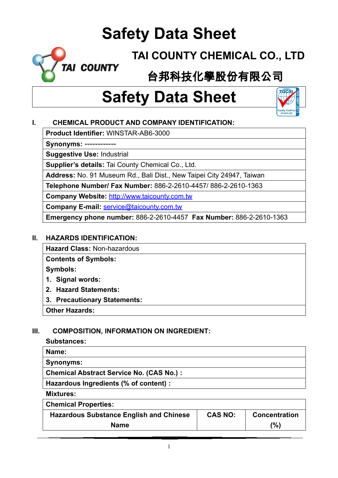

**TAI COUNTY CHEMICAL CO., LTD**

# 台邦科技化學股份有限公司

# **Safety Data Sheet**



**Product Identifier:** WINSTAR-AB6-3000

**Synonyms:** ------------

**Suggestive Use:** Industrial

**Supplier's details:** Tai County Chemical Co., Ltd.

**Address:** No. 91 Museum Rd., Bali Dist., New Taipei City 24947, Taiwan

**Telephone Number/ Fax Number:** 886-2-2610-4457/ 886-2-2610-1363

**Company Website:** [http://www.taicounty.com.tw](http://www.taicounty.com.tw/)

**Company E-mail:** [service@taicounty.com.tw](mailto:service@taicounty.com.tw)

**Emergency phone number:** 886-2-2610-4457 **Fax Number:** 886-2-2610-1363

#### **II. HAZARDS IDENTIFICATION:**

**Hazard Class:** Non-hazardous

**Contents of Symbols:**

**Symbols:**

- **1. Signal words:**
- **2. Hazard Statements:**
- **3. Precautionary Statements:**

**Other Hazards:**

### **III. COMPOSITION, INFORMATION ON INGREDIENT:**

#### **Substances:**

| Name:                                           |  |
|-------------------------------------------------|--|
| <b>Synonyms:</b>                                |  |
| <b>Chemical Abstract Service No. (CAS No.):</b> |  |
| Hazardous Ingredients (% of content) :          |  |
| <b>Mixtures:</b>                                |  |

**Chemical Properties:**

| <b>Hazardous Substance English and Chinese</b> | <b>CAS NO:</b> | <b>Concentration</b> |
|------------------------------------------------|----------------|----------------------|
| <b>Name</b>                                    |                | (%)                  |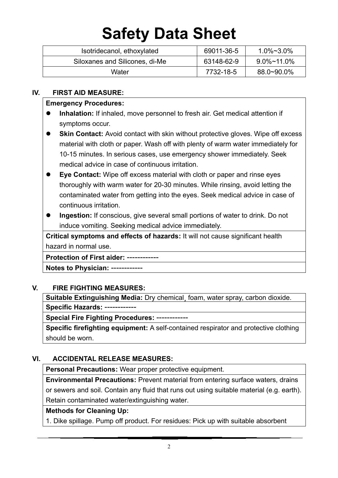| Isotridecanol, ethoxylated     | 69011-36-5 | $1.0\% \sim 3.0\%$ |
|--------------------------------|------------|--------------------|
| Siloxanes and Silicones, di-Me | 63148-62-9 | 9.0%~11.0%         |
| Water                          | 7732-18-5  | 88.0~90.0%         |

#### **IV. FIRST AID MEASURE:**

#### **Emergency Procedures:**

- **Inhalation:** If inhaled, move personnel to fresh air. Get medical attention if symptoms occur.
- **Skin Contact:** Avoid contact with skin without protective gloves. Wipe off excess material with cloth or paper. Wash off with plenty of warm water immediately for 10-15 minutes. In serious cases, use emergency shower immediately. Seek medical advice in case of continuous irritation.
- **Eye Contact:** Wipe off excess material with cloth or paper and rinse eyes thoroughly with warm water for 20-30 minutes. While rinsing, avoid letting the contaminated water from getting into the eyes. Seek medical advice in case of continuous irritation.
- **Ingestion:** If conscious, give several small portions of water to drink. Do not induce vomiting. Seeking medical advice immediately.

**Critical symptoms and effects of hazards:** It will not cause significant health hazard in normal use.

#### **Protection of First aider:** ------------

**Notes to Physician:** ------------

### **V. FIRE FIGHTING MEASURES:**

**Suitable Extinguishing Media:** Dry chemical¸ foam, water spray, carbon dioxide. **Specific Hazards:** ------------

**Special Fire Fighting Procedures:** ------------

**Specific firefighting equipment:** A self-contained respirator and protective clothing should be worn.

### **VI. ACCIDENTAL RELEASE MEASURES:**

**Personal Precautions:** Wear proper protective equipment.

**Environmental Precautions:** Prevent material from entering surface waters, drains or sewers and soil. Contain any fluid that runs out using suitable material (e.g. earth). Retain contaminated water/extinguishing water.

### **Methods for Cleaning Up:**

1. Dike spillage. Pump off product. For residues: Pick up with suitable absorbent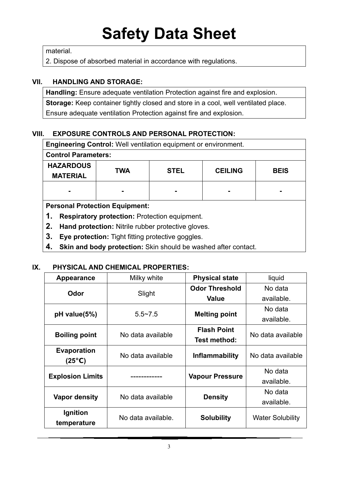material.

2. Dispose of absorbed material in accordance with regulations.

### **VII. HANDLING AND STORAGE:**

**Handling:** Ensure adequate ventilation Protection against fire and explosion. **Storage:** Keep container tightly closed and store in a cool, well ventilated place. Ensure adequate ventilation Protection against fire and explosion.

### **VIII. EXPOSURE CONTROLS AND PERSONAL PROTECTION:**

| <b>Engineering Control:</b> Well ventilation equipment or environment. |            |             |                |             |  |
|------------------------------------------------------------------------|------------|-------------|----------------|-------------|--|
| <b>Control Parameters:</b>                                             |            |             |                |             |  |
| <b>HAZARDOUS</b>                                                       | <b>TWA</b> | <b>STEL</b> | <b>CEILING</b> | <b>BEIS</b> |  |
| <b>MATERIAL</b>                                                        |            |             |                |             |  |
|                                                                        |            |             |                |             |  |
| <b>Personal Protection Equipment:</b>                                  |            |             |                |             |  |
| Respiratory protection: Protection equipment.<br>1.                    |            |             |                |             |  |
| 2.<br>Hand protection: Nitrile rubber protective gloves.               |            |             |                |             |  |

- **3. Eye protection:** Tight fitting protective goggles.
- **4. Skin and body protection:** Skin should be washed after contact.

### **IX. PHYSICAL AND CHEMICAL PROPERTIES:**

| <b>Appearance</b>       | Milky white<br><b>Physical state</b> |                        | liquid                  |
|-------------------------|--------------------------------------|------------------------|-------------------------|
|                         |                                      | <b>Odor Threshold</b>  | No data                 |
| Odor                    | Slight                               | <b>Value</b>           | available.              |
| $pH$ value(5%)          | $5.5 - 7.5$                          |                        | No data                 |
|                         |                                      | <b>Melting point</b>   | available.              |
| <b>Boiling point</b>    | No data available                    | <b>Flash Point</b>     | No data available       |
|                         |                                      | <b>Test method:</b>    |                         |
| <b>Evaporation</b>      | No data available                    | <b>Inflammability</b>  | No data available       |
| (25°C)                  |                                      |                        |                         |
| <b>Explosion Limits</b> |                                      |                        | No data                 |
|                         |                                      | <b>Vapour Pressure</b> | available.              |
| Vapor density           |                                      |                        | No data                 |
|                         | No data available                    | <b>Density</b>         | available.              |
| Ignition                | No data available.                   |                        | <b>Water Solubility</b> |
| temperature             |                                      | <b>Solubility</b>      |                         |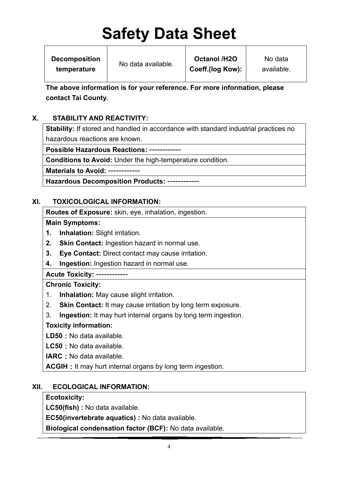**Decomposition temperature**

No data available.

**Octanol /H2O Coeff.(log Kow):**

No data available.

**The above information is for your reference. For more information, please contact Tai County.**

# **X. STABILITY AND REACTIVITY:**

**Stability:** If stored and handled in accordance with standard industrial practices no hazardous reactions are known.

**Possible Hazardous Reactions:** ------------

**Conditions to Avoid:** Under the high-temperature condition.

**Materials to Avoid:** ------------

**Hazardous Decomposition Products:** ------------

# **XI. TOXICOLOGICAL INFORMATION:**

**Routes of Exposure:** skin, eye, inhalation, ingestion.

**Main Symptoms:**

- **1. Inhalation:** Slight irritation.
- **2. Skin Contact:** Ingestion hazard in normal use.
- **3. Eye Contact:** Direct contact may cause irritation.
- **4. Ingestion:** Ingestion hazard in normal use.

**Acute Toxicity:** ------------

### **Chronic Toxicity:**

- 1. **Inhalation:** May cause slight irritation.
- 2. **Skin Contact:** It may cause irritation by long term exposure.
- 3. **Ingestion:** It may hurt internal organs by long term ingestion.

# **Toxicity information:**

LD50 : No data available.

**LC50**:No data available.

**IARC**: No data available.

**ACGIH**: It may hurt internal organs by long term ingestion.

# **XII. ECOLOGICAL INFORMATION:**

# **Ecotoxicity:**

**LC50(fish) :** No data available.

**EC50(invertebrate aquatics) :** No data available.

**Biological condensation factor (BCF):** No data available.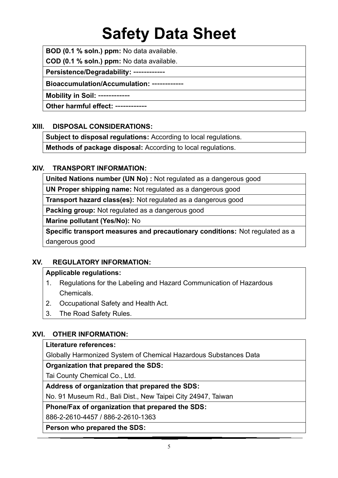**BOD (0.1 % soln.) ppm:** No data available.

**COD (0.1 % soln.) ppm:** No data available.

**Persistence/Degradability:** ------------

**Bioaccumulation/Accumulation:** ------------

**Mobility in Soil:** ------------

**Other harmful effect:** ------------

### **XIII. DISPOSAL CONSIDERATIONS:**

**Subject to disposal regulations:** According to local regulations.

**Methods of package disposal:** According to local regulations.

#### **XIV. TRANSPORT INFORMATION:**

**United Nations number (UN No) :** Not regulated as a dangerous good

**UN Proper shipping name:** Not regulated as a dangerous good

**Transport hazard class(es):** Not regulated as a dangerous good

**Packing group:** Not regulated as a dangerous good

**Marine pollutant (Yes/No):** No

**Specific transport measures and precautionary conditions:** Not regulated as a dangerous good

### **XV. REGULATORY INFORMATION:**

#### **Applicable regulations:**

- 1. Regulations for the Labeling and Hazard Communication of Hazardous Chemicals.
- 2. Occupational Safety and Health Act.
- 3. The Road Safety Rules.

### **XVI. OTHER INFORMATION:**

#### **Literature references:**

Globally Harmonized System of Chemical Hazardous Substances Data

#### **Organization that prepared the SDS:**

Tai County Chemical Co., Ltd.

### **Address of organization that prepared the SDS:**

No. 91 Museum Rd., Bali Dist., New Taipei City 24947, Taiwan

**Phone/Fax of organization that prepared the SDS:** 

886-2-2610-4457 / 886-2-2610-1363

**Person who prepared the SDS:**